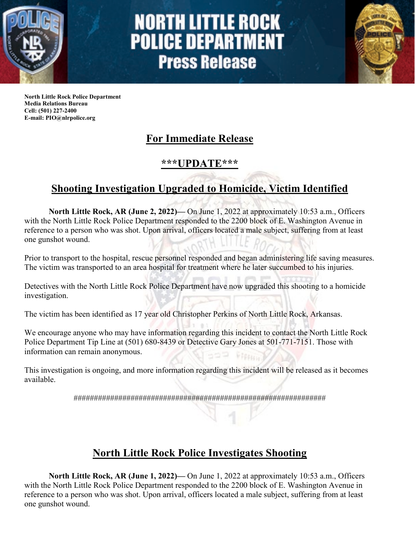

# **NORTH LITTLE ROCK POLICE DEPARTMENT Press Release**



**North Little Rock Police Department Media Relations Bureau Cell: (501) 227-2400 E-mail: PIO@nlrpolice.org**

## **For Immediate Release**

#### **\*\*\*UPDATE\*\*\***

## **Shooting Investigation Upgraded to Homicide, Victim Identified**

**North Little Rock, AR (June 2, 2022)—** On June 1, 2022 at approximately 10:53 a.m., Officers with the North Little Rock Police Department responded to the 2200 block of E. Washington Avenue in reference to a person who was shot. Upon arrival, officers located a male subject, suffering from at least one gunshot wound.

Prior to transport to the hospital, rescue personnel responded and began administering life saving measures. The victim was transported to an area hospital for treatment where he later succumbed to his injuries.

Detectives with the North Little Rock Police Department have now upgraded this shooting to a homicide investigation.

The victim has been identified as 17 year old Christopher Perkins of North Little Rock, Arkansas.

We encourage anyone who may have information regarding this incident to contact the North Little Rock Police Department Tip Line at (501) 680-8439 or Detective Gary Jones at 501-771-7151. Those with information can remain anonymous.

This investigation is ongoing, and more information regarding this incident will be released as it becomes available.

##############################################################

### **North Little Rock Police Investigates Shooting**

**North Little Rock, AR (June 1, 2022)—** On June 1, 2022 at approximately 10:53 a.m., Officers with the North Little Rock Police Department responded to the 2200 block of E. Washington Avenue in reference to a person who was shot. Upon arrival, officers located a male subject, suffering from at least one gunshot wound.